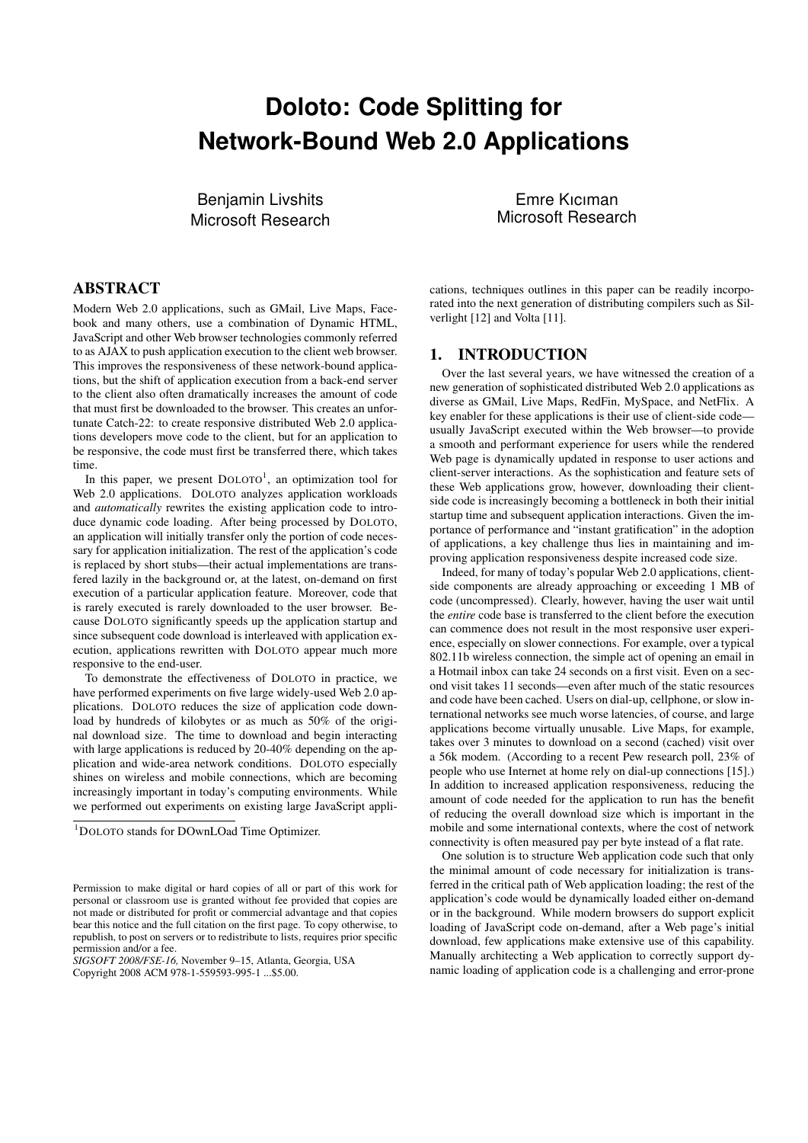# **Doloto: Code Splitting for Network-Bound Web 2.0 Applications**

Benjamin Livshits Microsoft Research

### ABSTRACT

Modern Web 2.0 applications, such as GMail, Live Maps, Facebook and many others, use a combination of Dynamic HTML, JavaScript and other Web browser technologies commonly referred to as AJAX to push application execution to the client web browser. This improves the responsiveness of these network-bound applications, but the shift of application execution from a back-end server to the client also often dramatically increases the amount of code that must first be downloaded to the browser. This creates an unfortunate Catch-22: to create responsive distributed Web 2.0 applications developers move code to the client, but for an application to be responsive, the code must first be transferred there, which takes time.

In this paper, we present DOLOTO<sup>1</sup>, an optimization tool for Web 2.0 applications. DOLOTO analyzes application workloads and *automatically* rewrites the existing application code to introduce dynamic code loading. After being processed by DOLOTO, an application will initially transfer only the portion of code necessary for application initialization. The rest of the application's code is replaced by short stubs—their actual implementations are transfered lazily in the background or, at the latest, on-demand on first execution of a particular application feature. Moreover, code that is rarely executed is rarely downloaded to the user browser. Because DOLOTO significantly speeds up the application startup and since subsequent code download is interleaved with application execution, applications rewritten with DOLOTO appear much more responsive to the end-user.

To demonstrate the effectiveness of DOLOTO in practice, we have performed experiments on five large widely-used Web 2.0 applications. DOLOTO reduces the size of application code download by hundreds of kilobytes or as much as 50% of the original download size. The time to download and begin interacting with large applications is reduced by 20-40% depending on the application and wide-area network conditions. DOLOTO especially shines on wireless and mobile connections, which are becoming increasingly important in today's computing environments. While we performed out experiments on existing large JavaScript appli-

*SIGSOFT 2008/FSE-16,* November 9–15, Atlanta, Georgia, USA Copyright 2008 ACM 978-1-559593-995-1 ...\$5.00.

Emre Kıcıman Microsoft Research

cations, techniques outlines in this paper can be readily incorporated into the next generation of distributing compilers such as Silverlight [12] and Volta [11].

### 1. INTRODUCTION

Over the last several years, we have witnessed the creation of a new generation of sophisticated distributed Web 2.0 applications as diverse as GMail, Live Maps, RedFin, MySpace, and NetFlix. A key enabler for these applications is their use of client-side code usually JavaScript executed within the Web browser—to provide a smooth and performant experience for users while the rendered Web page is dynamically updated in response to user actions and client-server interactions. As the sophistication and feature sets of these Web applications grow, however, downloading their clientside code is increasingly becoming a bottleneck in both their initial startup time and subsequent application interactions. Given the importance of performance and "instant gratification" in the adoption of applications, a key challenge thus lies in maintaining and improving application responsiveness despite increased code size.

Indeed, for many of today's popular Web 2.0 applications, clientside components are already approaching or exceeding 1 MB of code (uncompressed). Clearly, however, having the user wait until the *entire* code base is transferred to the client before the execution can commence does not result in the most responsive user experience, especially on slower connections. For example, over a typical 802.11b wireless connection, the simple act of opening an email in a Hotmail inbox can take 24 seconds on a first visit. Even on a second visit takes 11 seconds—even after much of the static resources and code have been cached. Users on dial-up, cellphone, or slow international networks see much worse latencies, of course, and large applications become virtually unusable. Live Maps, for example, takes over 3 minutes to download on a second (cached) visit over a 56k modem. (According to a recent Pew research poll, 23% of people who use Internet at home rely on dial-up connections [15].) In addition to increased application responsiveness, reducing the amount of code needed for the application to run has the benefit of reducing the overall download size which is important in the mobile and some international contexts, where the cost of network connectivity is often measured pay per byte instead of a flat rate.

One solution is to structure Web application code such that only the minimal amount of code necessary for initialization is transferred in the critical path of Web application loading; the rest of the application's code would be dynamically loaded either on-demand or in the background. While modern browsers do support explicit loading of JavaScript code on-demand, after a Web page's initial download, few applications make extensive use of this capability. Manually architecting a Web application to correctly support dynamic loading of application code is a challenging and error-prone

<sup>1</sup>DOLOTO stands for DOwnLOad Time Optimizer.

Permission to make digital or hard copies of all or part of this work for personal or classroom use is granted without fee provided that copies are not made or distributed for profit or commercial advantage and that copies bear this notice and the full citation on the first page. To copy otherwise, to republish, to post on servers or to redistribute to lists, requires prior specific permission and/or a fee.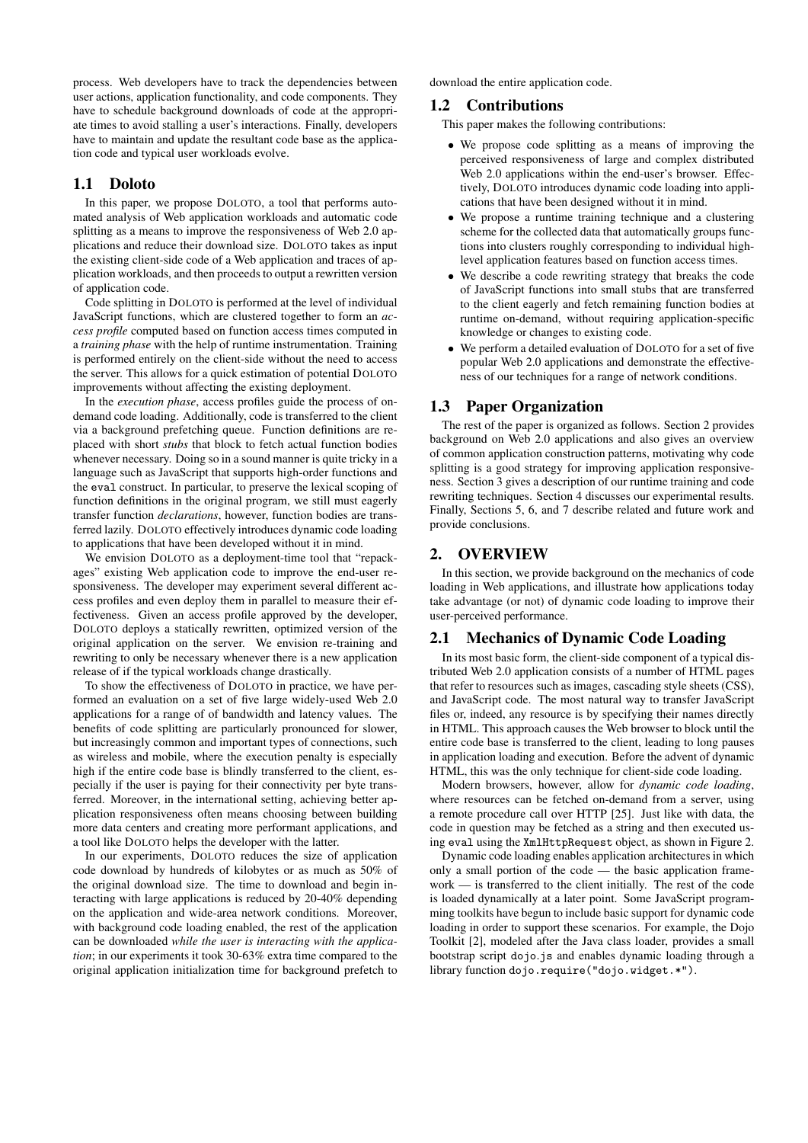process. Web developers have to track the dependencies between user actions, application functionality, and code components. They have to schedule background downloads of code at the appropriate times to avoid stalling a user's interactions. Finally, developers have to maintain and update the resultant code base as the application code and typical user workloads evolve.

### 1.1 Doloto

In this paper, we propose DOLOTO, a tool that performs automated analysis of Web application workloads and automatic code splitting as a means to improve the responsiveness of Web 2.0 applications and reduce their download size. DOLOTO takes as input the existing client-side code of a Web application and traces of application workloads, and then proceeds to output a rewritten version of application code.

Code splitting in DOLOTO is performed at the level of individual JavaScript functions, which are clustered together to form an *access profile* computed based on function access times computed in a *training phase* with the help of runtime instrumentation. Training is performed entirely on the client-side without the need to access the server. This allows for a quick estimation of potential DOLOTO improvements without affecting the existing deployment.

In the *execution phase*, access profiles guide the process of ondemand code loading. Additionally, code is transferred to the client via a background prefetching queue. Function definitions are replaced with short *stubs* that block to fetch actual function bodies whenever necessary. Doing so in a sound manner is quite tricky in a language such as JavaScript that supports high-order functions and the eval construct. In particular, to preserve the lexical scoping of function definitions in the original program, we still must eagerly transfer function *declarations*, however, function bodies are transferred lazily. DOLOTO effectively introduces dynamic code loading to applications that have been developed without it in mind.

We envision DOLOTO as a deployment-time tool that "repackages" existing Web application code to improve the end-user responsiveness. The developer may experiment several different access profiles and even deploy them in parallel to measure their effectiveness. Given an access profile approved by the developer, DOLOTO deploys a statically rewritten, optimized version of the original application on the server. We envision re-training and rewriting to only be necessary whenever there is a new application release of if the typical workloads change drastically.

To show the effectiveness of DOLOTO in practice, we have performed an evaluation on a set of five large widely-used Web 2.0 applications for a range of of bandwidth and latency values. The benefits of code splitting are particularly pronounced for slower, but increasingly common and important types of connections, such as wireless and mobile, where the execution penalty is especially high if the entire code base is blindly transferred to the client, especially if the user is paying for their connectivity per byte transferred. Moreover, in the international setting, achieving better application responsiveness often means choosing between building more data centers and creating more performant applications, and a tool like DOLOTO helps the developer with the latter.

In our experiments, DOLOTO reduces the size of application code download by hundreds of kilobytes or as much as 50% of the original download size. The time to download and begin interacting with large applications is reduced by 20-40% depending on the application and wide-area network conditions. Moreover, with background code loading enabled, the rest of the application can be downloaded *while the user is interacting with the application*; in our experiments it took 30-63% extra time compared to the original application initialization time for background prefetch to download the entire application code.

### 1.2 Contributions

This paper makes the following contributions:

- We propose code splitting as a means of improving the perceived responsiveness of large and complex distributed Web 2.0 applications within the end-user's browser. Effectively, DOLOTO introduces dynamic code loading into applications that have been designed without it in mind.
- We propose a runtime training technique and a clustering scheme for the collected data that automatically groups functions into clusters roughly corresponding to individual highlevel application features based on function access times.
- We describe a code rewriting strategy that breaks the code of JavaScript functions into small stubs that are transferred to the client eagerly and fetch remaining function bodies at runtime on-demand, without requiring application-specific knowledge or changes to existing code.
- We perform a detailed evaluation of DOLOTO for a set of five popular Web 2.0 applications and demonstrate the effectiveness of our techniques for a range of network conditions.

### 1.3 Paper Organization

The rest of the paper is organized as follows. Section 2 provides background on Web 2.0 applications and also gives an overview of common application construction patterns, motivating why code splitting is a good strategy for improving application responsiveness. Section 3 gives a description of our runtime training and code rewriting techniques. Section 4 discusses our experimental results. Finally, Sections 5, 6, and 7 describe related and future work and provide conclusions.

### 2. OVERVIEW

In this section, we provide background on the mechanics of code loading in Web applications, and illustrate how applications today take advantage (or not) of dynamic code loading to improve their user-perceived performance.

### 2.1 Mechanics of Dynamic Code Loading

In its most basic form, the client-side component of a typical distributed Web 2.0 application consists of a number of HTML pages that refer to resources such as images, cascading style sheets (CSS), and JavaScript code. The most natural way to transfer JavaScript files or, indeed, any resource is by specifying their names directly in HTML. This approach causes the Web browser to block until the entire code base is transferred to the client, leading to long pauses in application loading and execution. Before the advent of dynamic HTML, this was the only technique for client-side code loading.

Modern browsers, however, allow for *dynamic code loading*, where resources can be fetched on-demand from a server, using a remote procedure call over HTTP [25]. Just like with data, the code in question may be fetched as a string and then executed using eval using the XmlHttpRequest object, as shown in Figure 2.

Dynamic code loading enables application architectures in which only a small portion of the code — the basic application framework — is transferred to the client initially. The rest of the code is loaded dynamically at a later point. Some JavaScript programming toolkits have begun to include basic support for dynamic code loading in order to support these scenarios. For example, the Dojo Toolkit [2], modeled after the Java class loader, provides a small bootstrap script dojo.js and enables dynamic loading through a library function dojo.require("dojo.widget.\*").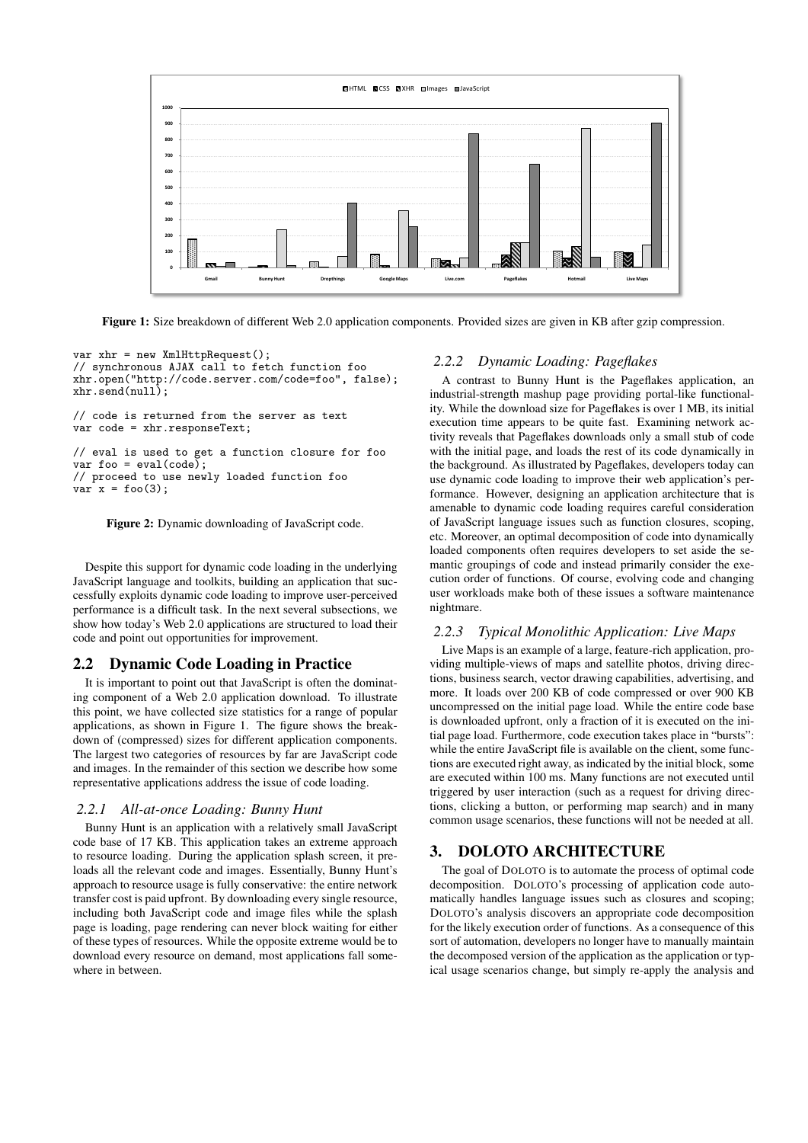

Figure 1: Size breakdown of different Web 2.0 application components. Provided sizes are given in KB after gzip compression.

```
var xhr = new XmlHttpRequest():
// synchronous AJAX call to fetch function foo
xhr.open("http://code.server.com/code=foo", false);
xhr.send(null);
```

```
// code is returned from the server as text
var code = xhr.responseText;
```

```
// eval is used to get a function closure for foo
var foo = eval(code);
// proceed to use newly loaded function foo
var x = f \circ \circ (3):
```
Figure 2: Dynamic downloading of JavaScript code.

Despite this support for dynamic code loading in the underlying JavaScript language and toolkits, building an application that successfully exploits dynamic code loading to improve user-perceived performance is a difficult task. In the next several subsections, we show how today's Web 2.0 applications are structured to load their code and point out opportunities for improvement.

### 2.2 Dynamic Code Loading in Practice

It is important to point out that JavaScript is often the dominating component of a Web 2.0 application download. To illustrate this point, we have collected size statistics for a range of popular applications, as shown in Figure 1. The figure shows the breakdown of (compressed) sizes for different application components. The largest two categories of resources by far are JavaScript code and images. In the remainder of this section we describe how some representative applications address the issue of code loading.

### *2.2.1 All-at-once Loading: Bunny Hunt*

Bunny Hunt is an application with a relatively small JavaScript code base of 17 KB. This application takes an extreme approach to resource loading. During the application splash screen, it preloads all the relevant code and images. Essentially, Bunny Hunt's approach to resource usage is fully conservative: the entire network transfer cost is paid upfront. By downloading every single resource, including both JavaScript code and image files while the splash page is loading, page rendering can never block waiting for either of these types of resources. While the opposite extreme would be to download every resource on demand, most applications fall somewhere in between.

### *2.2.2 Dynamic Loading: Pageflakes*

A contrast to Bunny Hunt is the Pageflakes application, an industrial-strength mashup page providing portal-like functionality. While the download size for Pageflakes is over 1 MB, its initial execution time appears to be quite fast. Examining network activity reveals that Pageflakes downloads only a small stub of code with the initial page, and loads the rest of its code dynamically in the background. As illustrated by Pageflakes, developers today can use dynamic code loading to improve their web application's performance. However, designing an application architecture that is amenable to dynamic code loading requires careful consideration of JavaScript language issues such as function closures, scoping, etc. Moreover, an optimal decomposition of code into dynamically loaded components often requires developers to set aside the semantic groupings of code and instead primarily consider the execution order of functions. Of course, evolving code and changing user workloads make both of these issues a software maintenance nightmare.

### *2.2.3 Typical Monolithic Application: Live Maps*

Live Maps is an example of a large, feature-rich application, providing multiple-views of maps and satellite photos, driving directions, business search, vector drawing capabilities, advertising, and more. It loads over 200 KB of code compressed or over 900 KB uncompressed on the initial page load. While the entire code base is downloaded upfront, only a fraction of it is executed on the initial page load. Furthermore, code execution takes place in "bursts": while the entire JavaScript file is available on the client, some functions are executed right away, as indicated by the initial block, some are executed within 100 ms. Many functions are not executed until triggered by user interaction (such as a request for driving directions, clicking a button, or performing map search) and in many common usage scenarios, these functions will not be needed at all.

### 3. DOLOTO ARCHITECTURE

The goal of DOLOTO is to automate the process of optimal code decomposition. DOLOTO's processing of application code automatically handles language issues such as closures and scoping; DOLOTO's analysis discovers an appropriate code decomposition for the likely execution order of functions. As a consequence of this sort of automation, developers no longer have to manually maintain the decomposed version of the application as the application or typical usage scenarios change, but simply re-apply the analysis and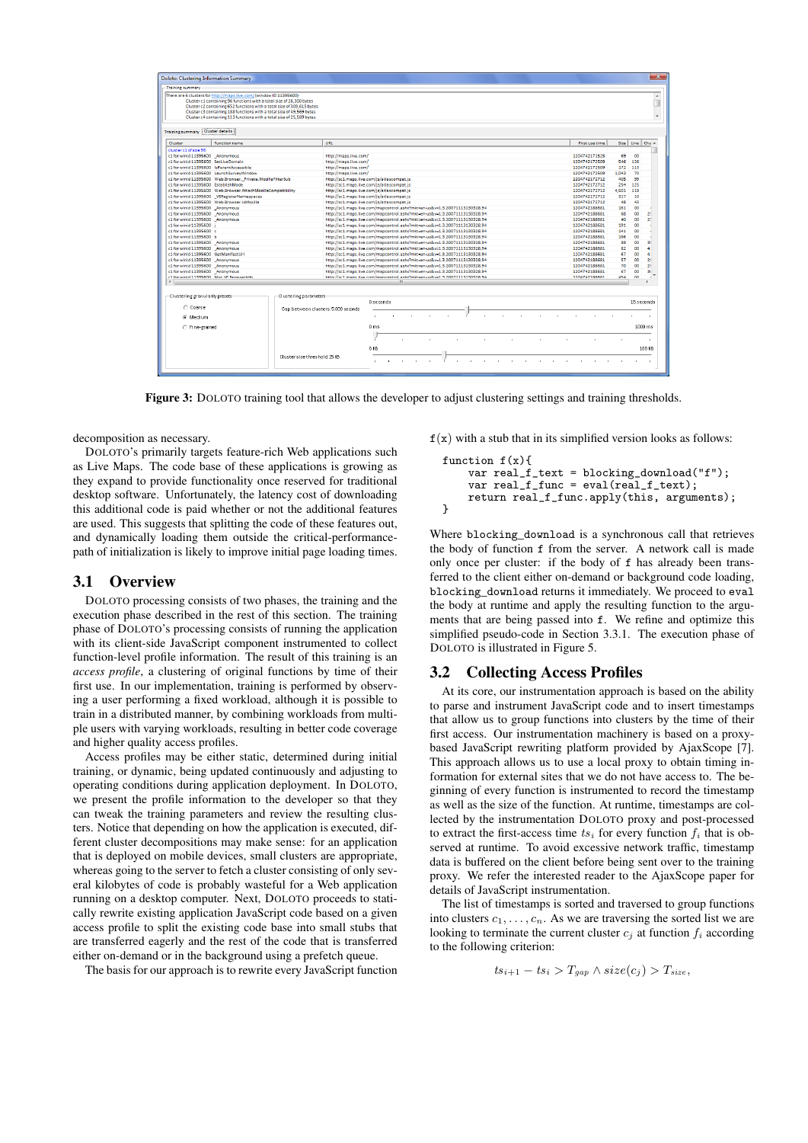| <b>Doloto: Clustering Information Summary</b>                              |                                                                                                                                                                                                                                                                                                                                                                         |                                                                                                                                 |                |         |                  | $\overline{\mathbf{x}}$                   |
|----------------------------------------------------------------------------|-------------------------------------------------------------------------------------------------------------------------------------------------------------------------------------------------------------------------------------------------------------------------------------------------------------------------------------------------------------------------|---------------------------------------------------------------------------------------------------------------------------------|----------------|---------|------------------|-------------------------------------------|
| -Training summary                                                          |                                                                                                                                                                                                                                                                                                                                                                         |                                                                                                                                 |                |         |                  |                                           |
|                                                                            | There are 6 clusters for http://maps.live.com/ (window ID 11395600)<br>Cluster c1 containing 96 functions with a total size of 26,300 bytes<br>Cluster c2 containing 652 functions with a total size of 309.615 bytes<br>Cluster c3 containing 188 functions with a total size of 49,569 bytes<br>Cluster c4 containing 113 functions with a total size of 25.589 bytes |                                                                                                                                 |                |         |                  | ×                                         |
| Training summary   Cluster details                                         |                                                                                                                                                                                                                                                                                                                                                                         |                                                                                                                                 |                |         |                  |                                           |
| Cluster                                                                    | <b>Function name</b>                                                                                                                                                                                                                                                                                                                                                    | LIRE                                                                                                                            | First use time |         |                  | Size Line Cha A                           |
| cluster c1 of size 96                                                      |                                                                                                                                                                                                                                                                                                                                                                         |                                                                                                                                 |                |         |                  |                                           |
| c1 for winid 11395600 Anonymous                                            |                                                                                                                                                                                                                                                                                                                                                                         | http://maps.live.com/                                                                                                           | 1204742171525  | 69      | $\alpha$         |                                           |
| c1 for winid 11395600 SetLiveDomain                                        |                                                                                                                                                                                                                                                                                                                                                                         | http://maps.live.com/                                                                                                           | 1204742172509  | 546     | 126              |                                           |
| c1 for winid 11395600 IsParentAccessible                                   |                                                                                                                                                                                                                                                                                                                                                                         | http://maps.live.com/                                                                                                           | 1204742172509  | 172 113 |                  |                                           |
| c1 for winid 11395600 LaunchSurveyWindow                                   |                                                                                                                                                                                                                                                                                                                                                                         | http://maps.live.com/                                                                                                           | 1204742172509  | 1.043   | 70               |                                           |
|                                                                            | c1 for winid 11395600 Web.Browser. Private.MozillaFilterSub                                                                                                                                                                                                                                                                                                             | http://sc1.maps.live.com/js/atlascompat.js                                                                                      | 1204742172712  | 405     | 99               |                                           |
| c1 for winid 11395600 EstablishMode                                        |                                                                                                                                                                                                                                                                                                                                                                         | http://sc1.maps.live.com/is/atlascompat.is                                                                                      | 1204742172712  | 254     | 125              |                                           |
|                                                                            | c1 for winid 11395600 Web.Browser.AttachMozillaCompatibility                                                                                                                                                                                                                                                                                                            | http://sc1.maps.live.com/is/atlascompat.is                                                                                      | 1204742172712  | 4.501   | 119              |                                           |
| c1 for winid 11395600 _VERegisterNamespaces                                |                                                                                                                                                                                                                                                                                                                                                                         | http://sc1.maps.live.com/js/atlascompat.js                                                                                      | 1204742172712  | 317     | 10 <sup>10</sup> |                                           |
| c1 for winid 11395600 Web Browser is Mozilla                               |                                                                                                                                                                                                                                                                                                                                                                         | http://sc1.maps.live.com/is/atlascompat.is                                                                                      | 1204742172712  | 48      | 43               |                                           |
| c1 for winid 11395600 Anonymous                                            |                                                                                                                                                                                                                                                                                                                                                                         | http://sc1.maps.live.com/mapcontrol.ashx?mkt=en-us&v=1.3.20071113130328.94                                                      | 1204742188681  | 161     | $\alpha$         |                                           |
| c1 for winid 11395600 Anonymous                                            |                                                                                                                                                                                                                                                                                                                                                                         | http://sc1.maps.live.com/mapcontrol.ashx?mkt=en-us&v=1.3.20071113130328.94                                                      | 1204742188681  | 68      | 00               | 24                                        |
| c1 for winid 11395600 Anonymous                                            |                                                                                                                                                                                                                                                                                                                                                                         | http://sc1.maps.live.com/mapcontrol.ashx?mkt=en-us&v=1.3.20071113130328.94                                                      | 1204742188681  | 40      | $\alpha$         | 9¢                                        |
| c1 for winid 11395600 i                                                    |                                                                                                                                                                                                                                                                                                                                                                         | http://sc1.maps.live.com/mapcontrol.ashx?mkt=en-us&v=1.3.20071113130328.94                                                      | 1204742188681  | 191     | $\infty$         |                                           |
| c1 for winid 11395600 c                                                    |                                                                                                                                                                                                                                                                                                                                                                         | http://sc1.maps.live.com/mapcontrol.ashx?mkt=en-us&v=1.3.20071113130328.94                                                      | 1204742188681  | 141     | $\infty$         |                                           |
| c1 for winid 11395600 b                                                    |                                                                                                                                                                                                                                                                                                                                                                         | http://sc1.maps.live.com/mapcontrol.ashx?mkt=en-us&v=1.3.20071113130328.94                                                      | 1204742188681  | 166     | $\alpha$         |                                           |
| c1 for winid 11395600 Anonymous                                            |                                                                                                                                                                                                                                                                                                                                                                         | http://sc1.maps.live.com/mapcontrol.ashx?mkt=en-us&v=1.3.20071113130328.94                                                      | 1204742188681  | 89      | $\infty$         | <b>R</b>                                  |
| c1 for winid 11395600 Anonymous                                            |                                                                                                                                                                                                                                                                                                                                                                         | http://sc1.maps.live.com/mapcontrol.ashx?mkt=en-us&v=1.3.20071113130328.94                                                      | 1204742188681  | 82      | 00               | $\mathbf{a}^*$                            |
| c1 for winid 11395600 GetManifestUrl                                       |                                                                                                                                                                                                                                                                                                                                                                         | http://sc1.maps.live.com/mapcontrol.ashx?mkt=en-us&v=1.3.20071113130328.94                                                      | 1204742188681  | 67      | 00 <sup>1</sup>  | a-                                        |
| c1 for winid 11395600 Anonymous                                            |                                                                                                                                                                                                                                                                                                                                                                         | http://sc1.maps.live.com/mapcontrol.ashx?mkt=en-us&v=1.3.20071113130328.94                                                      | 1204742188681  | 57      | $\infty$         | 24                                        |
| c1 for winid 11395600 Anonymous                                            |                                                                                                                                                                                                                                                                                                                                                                         | http://sc1.maps.live.com/mapcontrol.ashx?mkt=en-us&v=1.3.20071113130328.94                                                      | 1204742188681  | 70      | $\infty$         | 25                                        |
| c1 for winid 11395600 Anonymous                                            |                                                                                                                                                                                                                                                                                                                                                                         | http://sc1.maps.live.com/mapcontrol.ashx?mkt=en-us&v=1.3.20071113130328.94                                                      | 1204742188681  | 67      | <b>OO</b>        | RC.                                       |
| c1 for winid 11395600 Msn VF RrowserInfo.                                  |                                                                                                                                                                                                                                                                                                                                                                         | http://sc1.mans.live.com/mancontrol.ashx?mkt=enuts&v=1.3.20071113130328.94                                                      | 1204742188681  | 454     | $\infty$         | $\mathbf{r}$                              |
| -Clustering granul arity presets<br>C Coarse<br>G Medium<br>○ Fine-grained | Clustering parameters<br>Cluster size threshold: 25 KB                                                                                                                                                                                                                                                                                                                  | <b>Oseconds</b><br>Gap between clusters: 5.000 seconds<br>0 <sub>ms</sub><br>$\sim$<br>$\sim$<br>$\sim$<br>$\mathbf{r}$<br>n KB | $\sim$         |         |                  | 15 seconds<br>1000 ms<br>$\sim$<br>100 KB |

Figure 3: DOLOTO training tool that allows the developer to adjust clustering settings and training thresholds.

decomposition as necessary.

DOLOTO's primarily targets feature-rich Web applications such as Live Maps. The code base of these applications is growing as they expand to provide functionality once reserved for traditional desktop software. Unfortunately, the latency cost of downloading this additional code is paid whether or not the additional features are used. This suggests that splitting the code of these features out, and dynamically loading them outside the critical-performancepath of initialization is likely to improve initial page loading times.

### 3.1 Overview

DOLOTO processing consists of two phases, the training and the execution phase described in the rest of this section. The training phase of DOLOTO's processing consists of running the application with its client-side JavaScript component instrumented to collect function-level profile information. The result of this training is an *access profile*, a clustering of original functions by time of their first use. In our implementation, training is performed by observing a user performing a fixed workload, although it is possible to train in a distributed manner, by combining workloads from multiple users with varying workloads, resulting in better code coverage and higher quality access profiles.

Access profiles may be either static, determined during initial training, or dynamic, being updated continuously and adjusting to operating conditions during application deployment. In DOLOTO, we present the profile information to the developer so that they can tweak the training parameters and review the resulting clusters. Notice that depending on how the application is executed, different cluster decompositions may make sense: for an application that is deployed on mobile devices, small clusters are appropriate, whereas going to the server to fetch a cluster consisting of only several kilobytes of code is probably wasteful for a Web application running on a desktop computer. Next, DOLOTO proceeds to statically rewrite existing application JavaScript code based on a given access profile to split the existing code base into small stubs that are transferred eagerly and the rest of the code that is transferred either on-demand or in the background using a prefetch queue.

The basis for our approach is to rewrite every JavaScript function

 $f(x)$  with a stub that in its simplified version looks as follows:

```
function f(x){
    var real_f_text = blocking_download("f");
    var real_f_func = eval(real_f_text);
    return real_f_func.apply(this, arguments);
}
```
Where blocking\_download is a synchronous call that retrieves the body of function f from the server. A network call is made only once per cluster: if the body of f has already been transferred to the client either on-demand or background code loading, blocking download returns it immediately. We proceed to eval the body at runtime and apply the resulting function to the arguments that are being passed into f. We refine and optimize this simplified pseudo-code in Section 3.3.1. The execution phase of DOLOTO is illustrated in Figure 5.

### 3.2 Collecting Access Profiles

At its core, our instrumentation approach is based on the ability to parse and instrument JavaScript code and to insert timestamps that allow us to group functions into clusters by the time of their first access. Our instrumentation machinery is based on a proxybased JavaScript rewriting platform provided by AjaxScope [7]. This approach allows us to use a local proxy to obtain timing information for external sites that we do not have access to. The beginning of every function is instrumented to record the timestamp as well as the size of the function. At runtime, timestamps are collected by the instrumentation DOLOTO proxy and post-processed to extract the first-access time  $ts<sub>i</sub>$  for every function  $f<sub>i</sub>$  that is observed at runtime. To avoid excessive network traffic, timestamp data is buffered on the client before being sent over to the training proxy. We refer the interested reader to the AjaxScope paper for details of JavaScript instrumentation.

The list of timestamps is sorted and traversed to group functions into clusters  $c_1, \ldots, c_n$ . As we are traversing the sorted list we are looking to terminate the current cluster  $c_i$  at function  $f_i$  according to the following criterion:

$$
ts_{i+1} - ts_i > T_{gap} \land size(c_j) > T_{size},
$$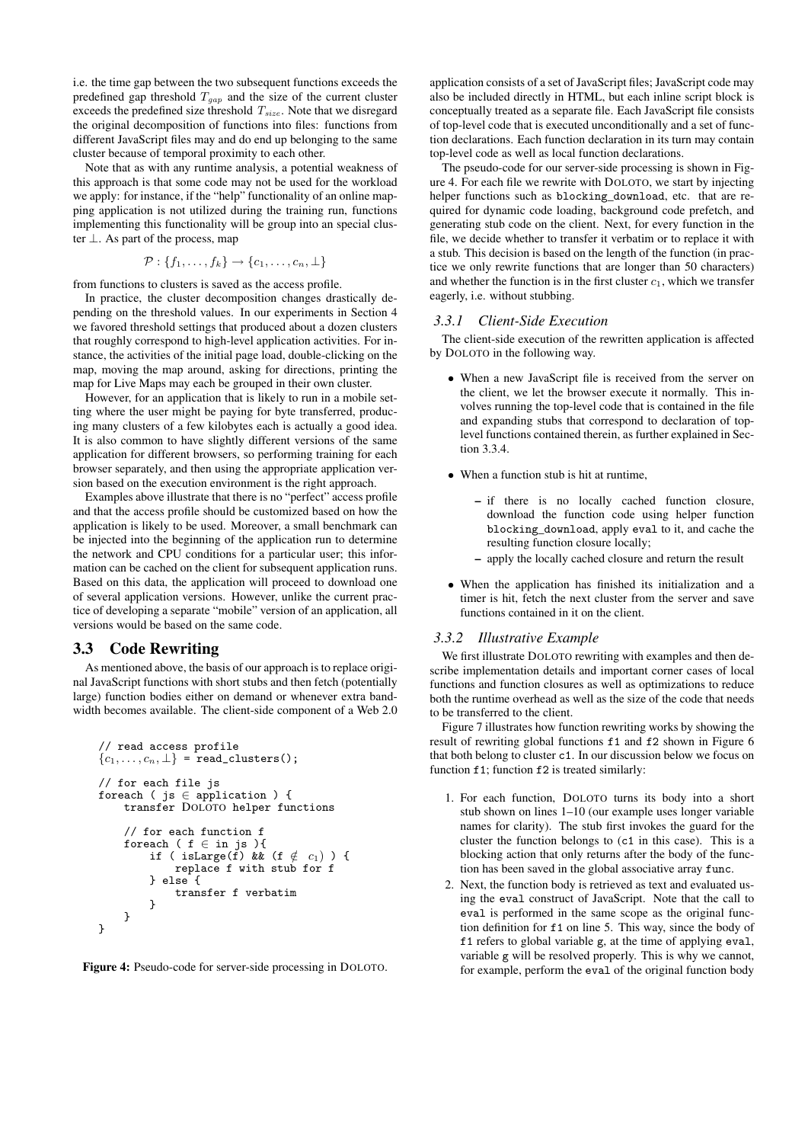i.e. the time gap between the two subsequent functions exceeds the predefined gap threshold  $T_{gap}$  and the size of the current cluster exceeds the predefined size threshold  $T_{size}$ . Note that we disregard the original decomposition of functions into files: functions from different JavaScript files may and do end up belonging to the same cluster because of temporal proximity to each other.

Note that as with any runtime analysis, a potential weakness of this approach is that some code may not be used for the workload we apply: for instance, if the "help" functionality of an online mapping application is not utilized during the training run, functions implementing this functionality will be group into an special cluster ⊥. As part of the process, map

$$
\mathcal{P}: \{f_1,\ldots,f_k\} \to \{c_1,\ldots,c_n,\perp\}
$$

from functions to clusters is saved as the access profile.

In practice, the cluster decomposition changes drastically depending on the threshold values. In our experiments in Section 4 we favored threshold settings that produced about a dozen clusters that roughly correspond to high-level application activities. For instance, the activities of the initial page load, double-clicking on the map, moving the map around, asking for directions, printing the map for Live Maps may each be grouped in their own cluster.

However, for an application that is likely to run in a mobile setting where the user might be paying for byte transferred, producing many clusters of a few kilobytes each is actually a good idea. It is also common to have slightly different versions of the same application for different browsers, so performing training for each browser separately, and then using the appropriate application version based on the execution environment is the right approach.

Examples above illustrate that there is no "perfect" access profile and that the access profile should be customized based on how the application is likely to be used. Moreover, a small benchmark can be injected into the beginning of the application run to determine the network and CPU conditions for a particular user; this information can be cached on the client for subsequent application runs. Based on this data, the application will proceed to download one of several application versions. However, unlike the current practice of developing a separate "mobile" version of an application, all versions would be based on the same code.

### 3.3 Code Rewriting

As mentioned above, the basis of our approach is to replace original JavaScript functions with short stubs and then fetch (potentially large) function bodies either on demand or whenever extra bandwidth becomes available. The client-side component of a Web 2.0

```
// read access profile
\{c_1, \ldots, c_n, \perp\} = read_clusters();
// for each file js
foreach ( js \in application ) {
    transfer DOLOTO helper functions
    // for each function f
    foreach ( f \in in js ){
         if ( isLarge(f) && (f \notin c_1) ) {
             replace f with stub for f
         } else {
             transfer f verbatim
         }
    }
}
```
Figure 4: Pseudo-code for server-side processing in DOLOTO.

application consists of a set of JavaScript files; JavaScript code may also be included directly in HTML, but each inline script block is conceptually treated as a separate file. Each JavaScript file consists of top-level code that is executed unconditionally and a set of function declarations. Each function declaration in its turn may contain top-level code as well as local function declarations.

The pseudo-code for our server-side processing is shown in Figure 4. For each file we rewrite with DOLOTO, we start by injecting helper functions such as blocking\_download, etc. that are required for dynamic code loading, background code prefetch, and generating stub code on the client. Next, for every function in the file, we decide whether to transfer it verbatim or to replace it with a stub. This decision is based on the length of the function (in practice we only rewrite functions that are longer than 50 characters) and whether the function is in the first cluster  $c_1$ , which we transfer eagerly, i.e. without stubbing.

### *3.3.1 Client-Side Execution*

The client-side execution of the rewritten application is affected by DOLOTO in the following way.

- When a new JavaScript file is received from the server on the client, we let the browser execute it normally. This involves running the top-level code that is contained in the file and expanding stubs that correspond to declaration of toplevel functions contained therein, as further explained in Section 3.3.4.
- When a function stub is hit at runtime.
	- if there is no locally cached function closure, download the function code using helper function blocking\_download, apply eval to it, and cache the resulting function closure locally;
	- apply the locally cached closure and return the result
- When the application has finished its initialization and a timer is hit, fetch the next cluster from the server and save functions contained in it on the client.

### *3.3.2 Illustrative Example*

We first illustrate DOLOTO rewriting with examples and then describe implementation details and important corner cases of local functions and function closures as well as optimizations to reduce both the runtime overhead as well as the size of the code that needs to be transferred to the client.

Figure 7 illustrates how function rewriting works by showing the result of rewriting global functions f1 and f2 shown in Figure 6 that both belong to cluster c1. In our discussion below we focus on function f1; function f2 is treated similarly:

- 1. For each function, DOLOTO turns its body into a short stub shown on lines 1–10 (our example uses longer variable names for clarity). The stub first invokes the guard for the cluster the function belongs to (c1 in this case). This is a blocking action that only returns after the body of the function has been saved in the global associative array func.
- 2. Next, the function body is retrieved as text and evaluated using the eval construct of JavaScript. Note that the call to eval is performed in the same scope as the original function definition for f1 on line 5. This way, since the body of f1 refers to global variable g, at the time of applying eval, variable g will be resolved properly. This is why we cannot, for example, perform the eval of the original function body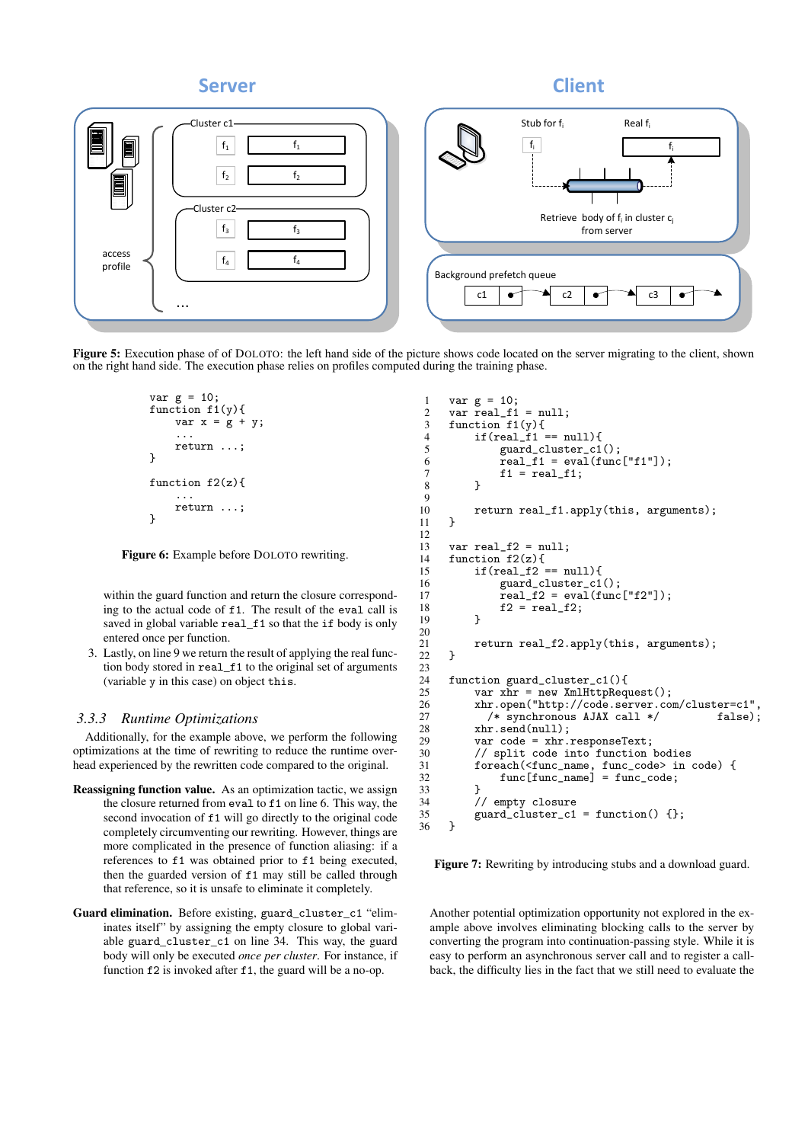## **Server Client**



Figure 5: Execution phase of of DOLOTO: the left hand side of the picture shows code located on the server migrating to the client, shown on the right hand side. The execution phase relies on profiles computed during the training phase.

```
var g = 10;
function f1(y){
    var x = g + y;
    ...
    return ...;
}
function f2(z){
    ...
    return ...;
}
```
Figure 6: Example before DOLOTO rewriting.

within the guard function and return the closure corresponding to the actual code of f1. The result of the eval call is saved in global variable real\_f1 so that the if body is only entered once per function.

3. Lastly, on line 9 we return the result of applying the real function body stored in real\_f1 to the original set of arguments (variable y in this case) on object this.

### *3.3.3 Runtime Optimizations*

Additionally, for the example above, we perform the following optimizations at the time of rewriting to reduce the runtime overhead experienced by the rewritten code compared to the original.

- Reassigning function value. As an optimization tactic, we assign the closure returned from eval to f1 on line 6. This way, the second invocation of  $f1$  will go directly to the original code completely circumventing our rewriting. However, things are more complicated in the presence of function aliasing: if a references to f1 was obtained prior to f1 being executed, then the guarded version of f1 may still be called through that reference, so it is unsafe to eliminate it completely.
- Guard elimination. Before existing, guard\_cluster\_c1 "eliminates itself" by assigning the empty closure to global variable guard\_cluster\_c1 on line 34. This way, the guard body will only be executed *once per cluster*. For instance, if function f2 is invoked after f1, the guard will be a no-op.

```
\begin{array}{cc} 1 & \text{var } g = 10; \\ 2 & \text{var real } f1 \end{array}2 var real_f1 = null;<br>3 function f1(v){
 3 function f1(y){<br>4 if (real_f1 =
 4 if (real_f1 == null){<br>5 quad_c15 guard_cluster_c1();<br>6 real_f1 = eval(func
 6 real_f1 = eval(func["f1"]);<br>
7 f1 = real_f1;f1 = \text{real}_f1;8 }
\frac{9}{10}return real_f1.apply(this, arguments);
11 }
12
13 var real_f2 = null;
14 function f2(z){<br>15 if(real f2
            if(real_f2 == null){
16 guard_cluster_c1();
17 real_f2 = eval(func["f2"]);18 f2 = real_f2;19 }
\frac{20}{21}return real_f2.apply(this, arguments);<br>}
22 }
\frac{23}{24}24 function guard_cluster_c1(){<br>25 var xhr = new XmlHttpRequ
25 var xhr = new XmlHttpRequest();<br>26 xhr.open("http://code.server.co
26 xhr.open("http://code.server.com/cluster=c1",<br>27 /* synchronous AJAX call */ false);
27 /* synchronous AJAX call */ false);
28 xhr.send(null);<br>
29 var code = xhr
29 var code = xhr.responseText;<br>30 // split code into function
30 // split code into function bodies<br>31 foreach(<func name, func code> in
31 foreach(<func_name, func_code> in code) {<br>32 func[func_name] = func_code:
            func[func_name] = func\_code;33 \\
 3434 // empty closure<br>35 guard cluster c1
       guard_cluster_c1 = function() {};
36 }
```
Figure 7: Rewriting by introducing stubs and a download guard.

Another potential optimization opportunity not explored in the example above involves eliminating blocking calls to the server by converting the program into continuation-passing style. While it is easy to perform an asynchronous server call and to register a callback, the difficulty lies in the fact that we still need to evaluate the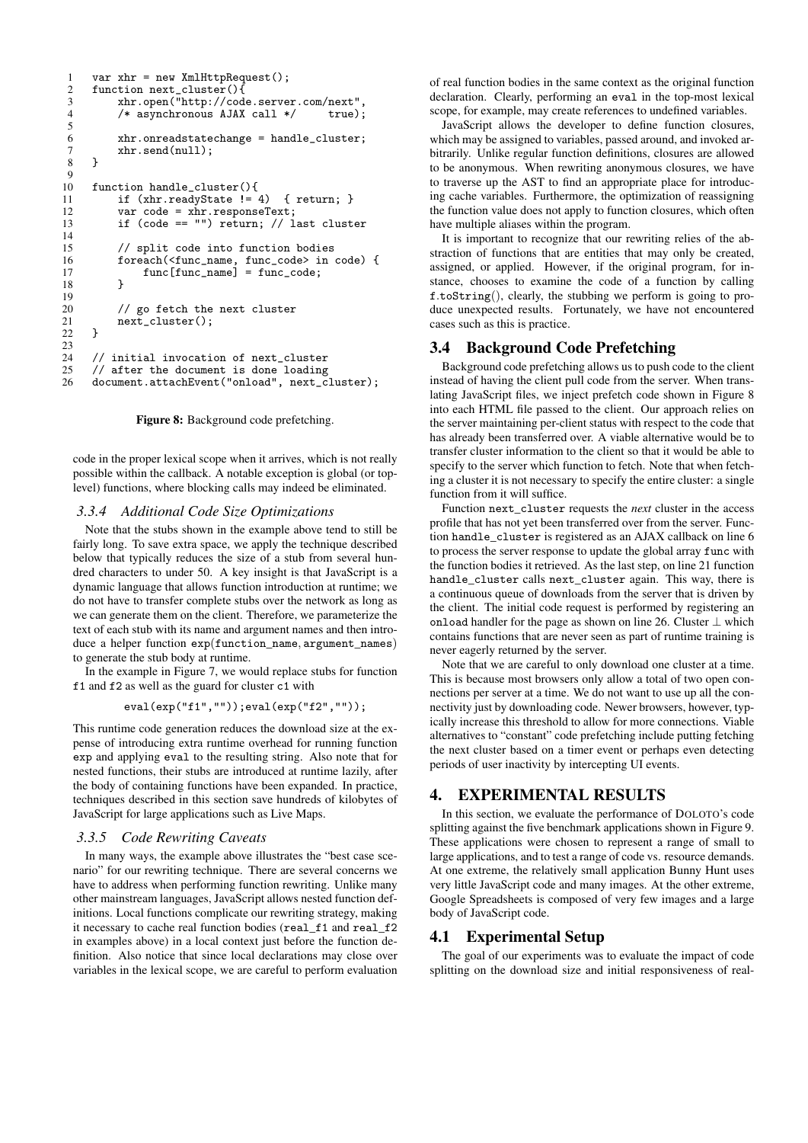```
1 var xhr = new XmlHttpRequest();<br>2 function next_cluster(){
 2 function next_cluster(){<br>3 xhr.open("http://cod
 3 xhr.open("http://code.server.com/next",<br>4 /* asynchronous AJAX call */ true);
            /* asynchronous AJAX call */5
 6 xhr.\text{onreadstatechange} = \text{handle\_cluster};<br>
7 \quad xhr.\text{send}(\text{null}):7 xhr.send(null);<br>8 }
      \mathcal{F}9
10 function handle_cluster(){<br>11 if (xhr.readyState != \frac{1}{2}if (xhr.readyState != 4) { return; }
12 var code = xhr.responseText;
13 if (code == "") return; // last cluster
14
15 // split code into function bodies
16 foreach(<func_name, func_code> in code) {
17 func[func_name] = func_code;
18 }
\frac{19}{20}20 // go fetch the next cluster<br>21 mext cluster():
21 next_cluster();<br>
22 + 22 = 22\mathcal{P}\frac{23}{24}24 // initial invocation of next_cluster<br>25 // after the document is done loading
25 // after the document is done loading<br>26 document.attachEvent("onload", next c
      document.attachEvent("onload", next_cluster);
```
### Figure 8: Background code prefetching.

code in the proper lexical scope when it arrives, which is not really possible within the callback. A notable exception is global (or toplevel) functions, where blocking calls may indeed be eliminated.

### *3.3.4 Additional Code Size Optimizations*

Note that the stubs shown in the example above tend to still be fairly long. To save extra space, we apply the technique described below that typically reduces the size of a stub from several hundred characters to under 50. A key insight is that JavaScript is a dynamic language that allows function introduction at runtime; we do not have to transfer complete stubs over the network as long as we can generate them on the client. Therefore, we parameterize the text of each stub with its name and argument names and then introduce a helper function exp(function\_name, argument\_names) to generate the stub body at runtime.

In the example in Figure 7, we would replace stubs for function f1 and f2 as well as the guard for cluster c1 with

$$
eval(exp("f1", "")); eval(exp("f2", ""));
$$

This runtime code generation reduces the download size at the expense of introducing extra runtime overhead for running function exp and applying eval to the resulting string. Also note that for nested functions, their stubs are introduced at runtime lazily, after the body of containing functions have been expanded. In practice, techniques described in this section save hundreds of kilobytes of JavaScript for large applications such as Live Maps.

### *3.3.5 Code Rewriting Caveats*

In many ways, the example above illustrates the "best case scenario" for our rewriting technique. There are several concerns we have to address when performing function rewriting. Unlike many other mainstream languages, JavaScript allows nested function definitions. Local functions complicate our rewriting strategy, making it necessary to cache real function bodies (real\_f1 and real\_f2 in examples above) in a local context just before the function definition. Also notice that since local declarations may close over variables in the lexical scope, we are careful to perform evaluation

of real function bodies in the same context as the original function declaration. Clearly, performing an eval in the top-most lexical scope, for example, may create references to undefined variables.

JavaScript allows the developer to define function closures, which may be assigned to variables, passed around, and invoked arbitrarily. Unlike regular function definitions, closures are allowed to be anonymous. When rewriting anonymous closures, we have to traverse up the AST to find an appropriate place for introducing cache variables. Furthermore, the optimization of reassigning the function value does not apply to function closures, which often have multiple aliases within the program.

It is important to recognize that our rewriting relies of the abstraction of functions that are entities that may only be created, assigned, or applied. However, if the original program, for instance, chooses to examine the code of a function by calling f.toString(), clearly, the stubbing we perform is going to produce unexpected results. Fortunately, we have not encountered cases such as this is practice.

### 3.4 Background Code Prefetching

Background code prefetching allows us to push code to the client instead of having the client pull code from the server. When translating JavaScript files, we inject prefetch code shown in Figure 8 into each HTML file passed to the client. Our approach relies on the server maintaining per-client status with respect to the code that has already been transferred over. A viable alternative would be to transfer cluster information to the client so that it would be able to specify to the server which function to fetch. Note that when fetching a cluster it is not necessary to specify the entire cluster: a single function from it will suffice.

Function next\_cluster requests the *next* cluster in the access profile that has not yet been transferred over from the server. Function handle\_cluster is registered as an AJAX callback on line 6 to process the server response to update the global array func with the function bodies it retrieved. As the last step, on line 21 function handle\_cluster calls next\_cluster again. This way, there is a continuous queue of downloads from the server that is driven by the client. The initial code request is performed by registering an onload handler for the page as shown on line 26. Cluster  $\perp$  which contains functions that are never seen as part of runtime training is never eagerly returned by the server.

Note that we are careful to only download one cluster at a time. This is because most browsers only allow a total of two open connections per server at a time. We do not want to use up all the connectivity just by downloading code. Newer browsers, however, typically increase this threshold to allow for more connections. Viable alternatives to "constant" code prefetching include putting fetching the next cluster based on a timer event or perhaps even detecting periods of user inactivity by intercepting UI events.

### 4. EXPERIMENTAL RESULTS

In this section, we evaluate the performance of DOLOTO's code splitting against the five benchmark applications shown in Figure 9. These applications were chosen to represent a range of small to large applications, and to test a range of code vs. resource demands. At one extreme, the relatively small application Bunny Hunt uses very little JavaScript code and many images. At the other extreme, Google Spreadsheets is composed of very few images and a large body of JavaScript code.

### 4.1 Experimental Setup

The goal of our experiments was to evaluate the impact of code splitting on the download size and initial responsiveness of real-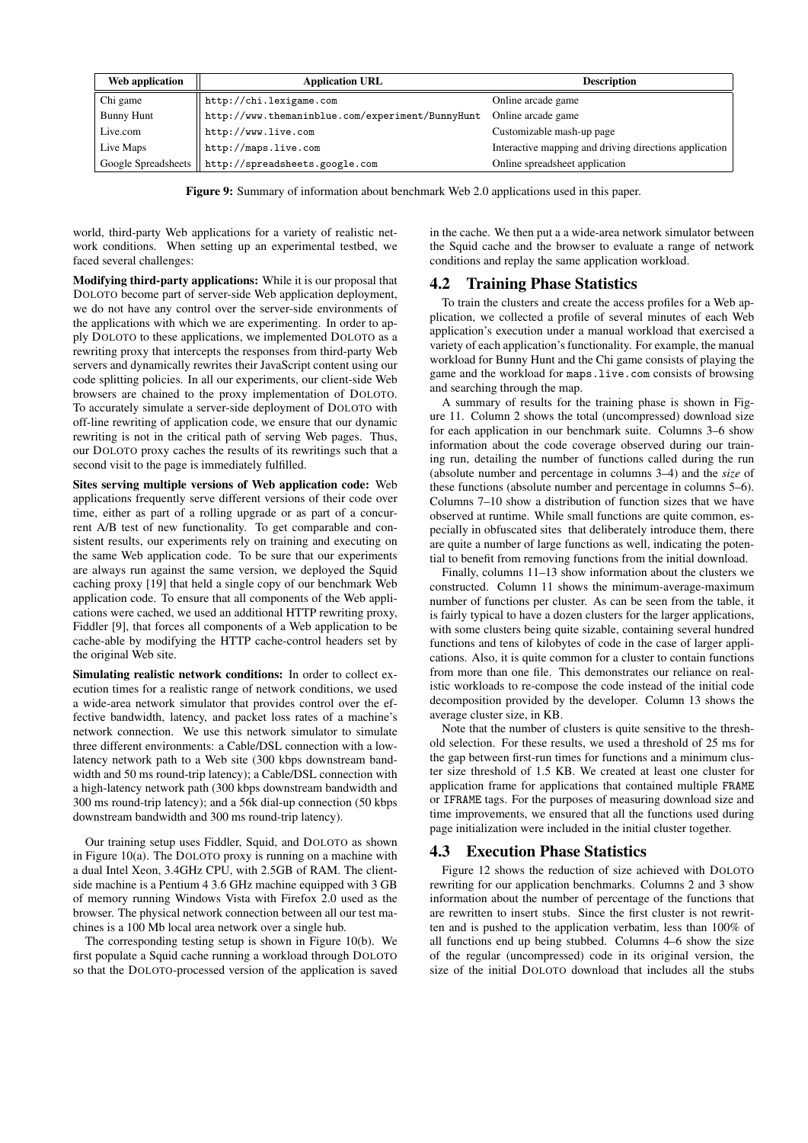| Web application     | <b>Application URL</b>                           | <b>Description</b>                                     |
|---------------------|--------------------------------------------------|--------------------------------------------------------|
| Chi game            | http://chi.lexigame.com                          | Online arcade game                                     |
| <b>Bunny Hunt</b>   | http://www.themaninblue.com/experiment/BunnyHunt | Online arcade game                                     |
| Live.com            | http://www.live.com                              | Customizable mash-up page                              |
| Live Maps           | http://maps.live.com                             | Interactive mapping and driving directions application |
| Google Spreadsheets | http://spreadsheets.google.com                   | Online spreadsheet application                         |

Figure 9: Summary of information about benchmark Web 2.0 applications used in this paper.

world, third-party Web applications for a variety of realistic network conditions. When setting up an experimental testbed, we faced several challenges:

Modifying third-party applications: While it is our proposal that DOLOTO become part of server-side Web application deployment, we do not have any control over the server-side environments of the applications with which we are experimenting. In order to apply DOLOTO to these applications, we implemented DOLOTO as a rewriting proxy that intercepts the responses from third-party Web servers and dynamically rewrites their JavaScript content using our code splitting policies. In all our experiments, our client-side Web browsers are chained to the proxy implementation of DOLOTO. To accurately simulate a server-side deployment of DOLOTO with off-line rewriting of application code, we ensure that our dynamic rewriting is not in the critical path of serving Web pages. Thus, our DOLOTO proxy caches the results of its rewritings such that a second visit to the page is immediately fulfilled.

Sites serving multiple versions of Web application code: Web applications frequently serve different versions of their code over time, either as part of a rolling upgrade or as part of a concurrent A/B test of new functionality. To get comparable and consistent results, our experiments rely on training and executing on the same Web application code. To be sure that our experiments are always run against the same version, we deployed the Squid caching proxy [19] that held a single copy of our benchmark Web application code. To ensure that all components of the Web applications were cached, we used an additional HTTP rewriting proxy, Fiddler [9], that forces all components of a Web application to be cache-able by modifying the HTTP cache-control headers set by the original Web site.

Simulating realistic network conditions: In order to collect execution times for a realistic range of network conditions, we used a wide-area network simulator that provides control over the effective bandwidth, latency, and packet loss rates of a machine's network connection. We use this network simulator to simulate three different environments: a Cable/DSL connection with a lowlatency network path to a Web site (300 kbps downstream bandwidth and 50 ms round-trip latency); a Cable/DSL connection with a high-latency network path (300 kbps downstream bandwidth and 300 ms round-trip latency); and a 56k dial-up connection (50 kbps downstream bandwidth and 300 ms round-trip latency).

Our training setup uses Fiddler, Squid, and DOLOTO as shown in Figure 10(a). The DOLOTO proxy is running on a machine with a dual Intel Xeon, 3.4GHz CPU, with 2.5GB of RAM. The clientside machine is a Pentium 4 3.6 GHz machine equipped with 3 GB of memory running Windows Vista with Firefox 2.0 used as the browser. The physical network connection between all our test machines is a 100 Mb local area network over a single hub.

The corresponding testing setup is shown in Figure 10(b). We first populate a Squid cache running a workload through DOLOTO so that the DOLOTO-processed version of the application is saved in the cache. We then put a a wide-area network simulator between the Squid cache and the browser to evaluate a range of network conditions and replay the same application workload.

### 4.2 Training Phase Statistics

To train the clusters and create the access profiles for a Web application, we collected a profile of several minutes of each Web application's execution under a manual workload that exercised a variety of each application's functionality. For example, the manual workload for Bunny Hunt and the Chi game consists of playing the game and the workload for maps.live.com consists of browsing and searching through the map.

A summary of results for the training phase is shown in Figure 11. Column 2 shows the total (uncompressed) download size for each application in our benchmark suite. Columns 3–6 show information about the code coverage observed during our training run, detailing the number of functions called during the run (absolute number and percentage in columns 3–4) and the *size* of these functions (absolute number and percentage in columns 5–6). Columns 7–10 show a distribution of function sizes that we have observed at runtime. While small functions are quite common, especially in obfuscated sites that deliberately introduce them, there are quite a number of large functions as well, indicating the potential to benefit from removing functions from the initial download.

Finally, columns 11–13 show information about the clusters we constructed. Column 11 shows the minimum-average-maximum number of functions per cluster. As can be seen from the table, it is fairly typical to have a dozen clusters for the larger applications, with some clusters being quite sizable, containing several hundred functions and tens of kilobytes of code in the case of larger applications. Also, it is quite common for a cluster to contain functions from more than one file. This demonstrates our reliance on realistic workloads to re-compose the code instead of the initial code decomposition provided by the developer. Column 13 shows the average cluster size, in KB.

Note that the number of clusters is quite sensitive to the threshold selection. For these results, we used a threshold of 25 ms for the gap between first-run times for functions and a minimum cluster size threshold of 1.5 KB. We created at least one cluster for application frame for applications that contained multiple FRAME or IFRAME tags. For the purposes of measuring download size and time improvements, we ensured that all the functions used during page initialization were included in the initial cluster together.

### 4.3 Execution Phase Statistics

Figure 12 shows the reduction of size achieved with DOLOTO rewriting for our application benchmarks. Columns 2 and 3 show information about the number of percentage of the functions that are rewritten to insert stubs. Since the first cluster is not rewritten and is pushed to the application verbatim, less than 100% of all functions end up being stubbed. Columns 4–6 show the size of the regular (uncompressed) code in its original version, the size of the initial DOLOTO download that includes all the stubs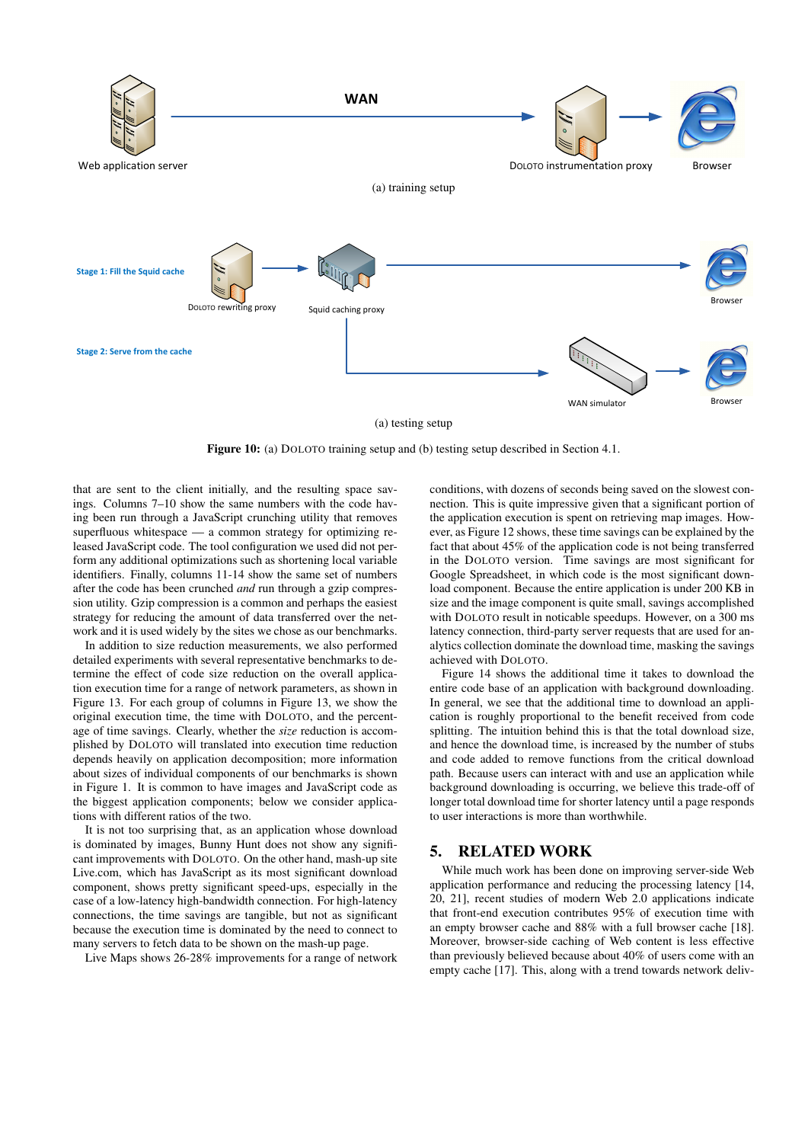

Figure 10: (a) DOLOTO training setup and (b) testing setup described in Section 4.1.

that are sent to the client initially, and the resulting space savings. Columns 7–10 show the same numbers with the code having been run through a JavaScript crunching utility that removes superfluous whitespace — a common strategy for optimizing released JavaScript code. The tool configuration we used did not perform any additional optimizations such as shortening local variable identifiers. Finally, columns 11-14 show the same set of numbers after the code has been crunched *and* run through a gzip compression utility. Gzip compression is a common and perhaps the easiest strategy for reducing the amount of data transferred over the network and it is used widely by the sites we chose as our benchmarks.

In addition to size reduction measurements, we also performed detailed experiments with several representative benchmarks to determine the effect of code size reduction on the overall application execution time for a range of network parameters, as shown in Figure 13. For each group of columns in Figure 13, we show the original execution time, the time with DOLOTO, and the percentage of time savings. Clearly, whether the *size* reduction is accomplished by DOLOTO will translated into execution time reduction depends heavily on application decomposition; more information about sizes of individual components of our benchmarks is shown in Figure 1. It is common to have images and JavaScript code as the biggest application components; below we consider applications with different ratios of the two.

It is not too surprising that, as an application whose download is dominated by images, Bunny Hunt does not show any significant improvements with DOLOTO. On the other hand, mash-up site Live.com, which has JavaScript as its most significant download component, shows pretty significant speed-ups, especially in the case of a low-latency high-bandwidth connection. For high-latency connections, the time savings are tangible, but not as significant because the execution time is dominated by the need to connect to many servers to fetch data to be shown on the mash-up page.

Live Maps shows 26-28% improvements for a range of network

conditions, with dozens of seconds being saved on the slowest connection. This is quite impressive given that a significant portion of the application execution is spent on retrieving map images. However, as Figure 12 shows, these time savings can be explained by the fact that about 45% of the application code is not being transferred in the DOLOTO version. Time savings are most significant for Google Spreadsheet, in which code is the most significant download component. Because the entire application is under 200 KB in size and the image component is quite small, savings accomplished with DOLOTO result in noticable speedups. However, on a 300 ms latency connection, third-party server requests that are used for analytics collection dominate the download time, masking the savings achieved with DOLOTO.

Figure 14 shows the additional time it takes to download the entire code base of an application with background downloading. In general, we see that the additional time to download an application is roughly proportional to the benefit received from code splitting. The intuition behind this is that the total download size, and hence the download time, is increased by the number of stubs and code added to remove functions from the critical download path. Because users can interact with and use an application while background downloading is occurring, we believe this trade-off of longer total download time for shorter latency until a page responds to user interactions is more than worthwhile.

### 5. RELATED WORK

While much work has been done on improving server-side Web application performance and reducing the processing latency [14, 20, 21], recent studies of modern Web 2.0 applications indicate that front-end execution contributes 95% of execution time with an empty browser cache and 88% with a full browser cache [18]. Moreover, browser-side caching of Web content is less effective than previously believed because about 40% of users come with an empty cache [17]. This, along with a trend towards network deliv-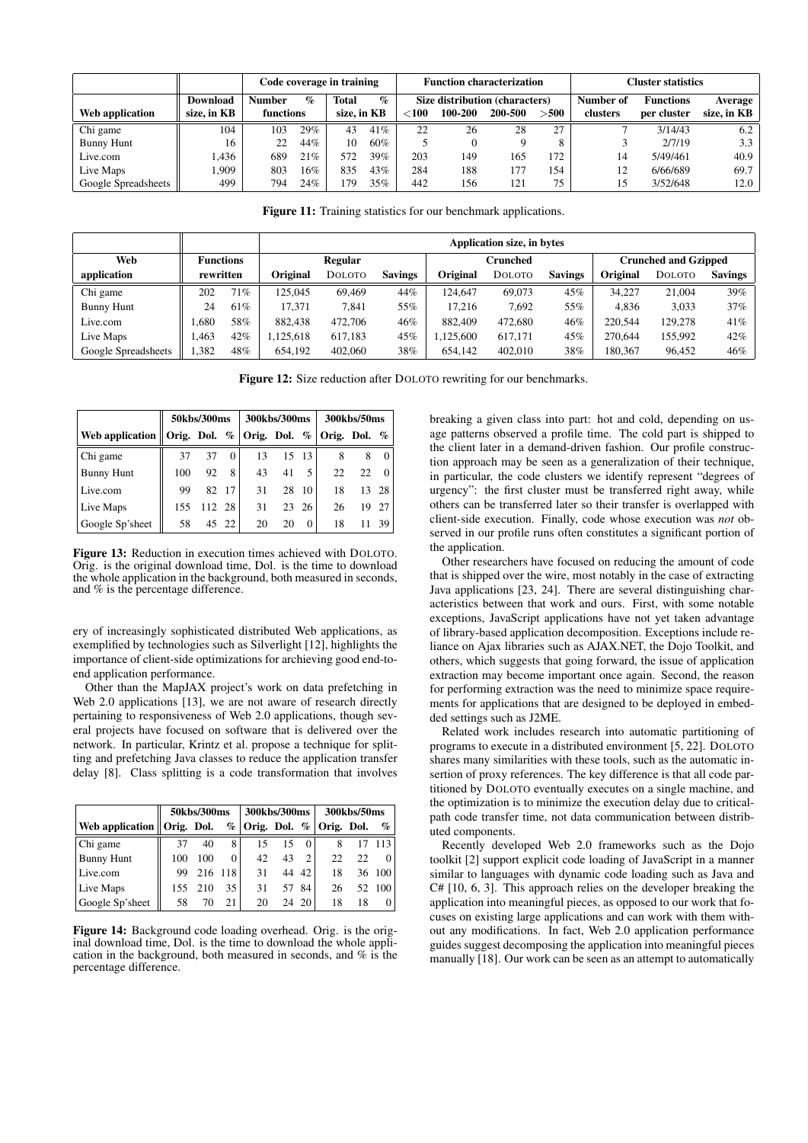|                     |             |               |      | Code coverage in training |      | <b>Function characterization</b> |         |                                |       | Cluster statistics |                  |             |  |  |
|---------------------|-------------|---------------|------|---------------------------|------|----------------------------------|---------|--------------------------------|-------|--------------------|------------------|-------------|--|--|
|                     | Download    | <b>Number</b> | $\%$ | <b>Total</b>              | $\%$ |                                  |         | Size distribution (characters) |       | Number of          | <b>Functions</b> | Average     |  |  |
| Web application     | size. in KB | functions     |      | size, in KB               |      | 100                              | 100-200 | 200-500                        | > 500 | clusters           | per cluster      | size, in KB |  |  |
| Chi game            | 104         | 103           | 29%  | 43                        | 41%  | 22                               | 26      | 28                             | 27    |                    | 3/14/43          | 6.2         |  |  |
| <b>Bunny Hunt</b>   | 16          |               | 44%  | 10                        | 60%  |                                  |         |                                | 8     |                    | 2/7/19           | 3.3         |  |  |
| Live.com            | l.436       | 689           | 21%  | 572                       | 39%  | 203                              | 149     | 165                            | 172   | 14                 | 5/49/461         | 40.9        |  |  |
| Live Maps           | .909        | 803           | 16%  | 835                       | 43%  | 284                              | 188     | 177                            | 154   | 12                 | 6/66/689         | 69.7        |  |  |
| Google Spreadsheets | 499         | 794           | 24%  | -79                       | 35%  | 442                              | 156     | 121                            | 75    | 15                 | 3/52/648         | 12.0        |  |  |

Figure 11: Training statistics for our benchmark applications.

|                     |                  |     |          | Application size, in bytes |                |           |          |                |                             |               |                |  |  |
|---------------------|------------------|-----|----------|----------------------------|----------------|-----------|----------|----------------|-----------------------------|---------------|----------------|--|--|
| Web                 | <b>Functions</b> |     |          | <b>Regular</b>             |                |           | Crunched |                | <b>Crunched and Gzipped</b> |               |                |  |  |
| application         | rewritten        |     | Original | <b>DOLOTO</b>              | <b>Savings</b> | Original  | DOLOTO   | <b>Savings</b> | Original                    | <b>DOLOTO</b> | <b>Savings</b> |  |  |
| Chi game            | 202              | 71% | 125.045  | 69,469                     | 44%            | 124.647   | 69,073   | 45%            | 34.227                      | 21,004        | 39%            |  |  |
| <b>Bunny Hunt</b>   | 24               | 61% | 17.371   | 7.841                      | 55%            | 17.216    | 7.692    | 55%            | 4.836                       | 3.033         | 37%            |  |  |
| Live.com            | .680             | 58% | 882,438  | 472,706                    | 46%            | 882,409   | 472,680  | 46%            | 220.544                     | 129,278       | 41%            |  |  |
| Live Maps           | .463             | 42% | ,125,618 | 617,183                    | 45%            | 1.125,600 | 617.171  | 45%            | 270.644                     | 155,992       | 42%            |  |  |
| Google Spreadsheets | .382             | 48% | 654,192  | 402,060                    | 38%            | 654.142   | 402,010  | 38%            | 180.367                     | 96,452        | 46%            |  |  |

Figure 12: Size reduction after DOLOTO rewriting for our benchmarks.

|                                                               |     | 50kbs/300ms |          |    | 300kbs/300ms |               | 300kbs/50ms |    |          |  |
|---------------------------------------------------------------|-----|-------------|----------|----|--------------|---------------|-------------|----|----------|--|
| Web application    Orig. Dol. %   Orig. Dol. %   Orig. Dol. % |     |             |          |    |              |               |             |    |          |  |
| Chi game                                                      | 37  | 37          | $\Omega$ | 13 |              | 15 13         |             |    | $\Omega$ |  |
| <b>Bunny Hunt</b>                                             | 100 | 92          | 8        | 43 | 41           | 5.            | 22          | 22 | $\Omega$ |  |
| Live.com                                                      | 99  |             | 82 17    | 31 |              | 28 10         | 18          |    | 13 28    |  |
| Live Maps                                                     | 155 | 112 28      |          | 31 |              | $23 \quad 26$ | 26          | 19 | 27       |  |
| Google Sp'sheet                                               | 58  |             | 45 22    | 20 | 20           | $\Omega$      | 18          |    | 39       |  |

Figure 13: Reduction in execution times achieved with DOLOTO. Orig. is the original download time, Dol. is the time to download the whole application in the background, both measured in seconds, and % is the percentage difference.

ery of increasingly sophisticated distributed Web applications, as exemplified by technologies such as Silverlight [12], highlights the importance of client-side optimizations for archieving good end-toend application performance.

Other than the MapJAX project's work on data prefetching in Web 2.0 applications [13], we are not aware of research directly pertaining to responsiveness of Web 2.0 applications, though several projects have focused on software that is delivered over the network. In particular, Krintz et al. propose a technique for splitting and prefetching Java classes to reduce the application transfer delay [8]. Class splitting is a code transformation that involves

|                                        |     | 50kbs/300ms |                 | 300kbs/300ms |    |                 | 300kbs/50ms                   |    |                 |  |
|----------------------------------------|-----|-------------|-----------------|--------------|----|-----------------|-------------------------------|----|-----------------|--|
| Web application $\parallel$ Orig. Dol. |     |             | $\%$            |              |    |                 | $ Orie.$ Dol. $%  Orie.$ Dol. |    | $\mathcal{A}_0$ |  |
| Chi game                               | 37  | 40          | 8               | 15           | 15 | $\Omega$        | 8                             |    | 113.            |  |
| <b>Bunny Hunt</b>                      | 100 | 100         | 0               | 42           | 43 | 2 <sup>1</sup>  | 22                            | フフ | 0               |  |
| Live.com                               | 99  | 216         | 118             | 31           | 44 | 42 <sup>1</sup> | 18                            | 36 | 100             |  |
| Live Maps                              | 155 | 210         | 35 <sup>1</sup> | 31           | 57 | 84              | 26                            | 52 | 100             |  |
| Google Sp'sheet                        | 58  | 70          | 21              | 20           | 24 | 20              | 18                            | 18 | 0               |  |

Figure 14: Background code loading overhead. Orig. is the original download time, Dol. is the time to download the whole application in the background, both measured in seconds, and % is the percentage difference.

breaking a given class into part: hot and cold, depending on usage patterns observed a profile time. The cold part is shipped to the client later in a demand-driven fashion. Our profile construction approach may be seen as a generalization of their technique, in particular, the code clusters we identify represent "degrees of urgency": the first cluster must be transferred right away, while others can be transferred later so their transfer is overlapped with client-side execution. Finally, code whose execution was *not* observed in our profile runs often constitutes a significant portion of the application.

Other researchers have focused on reducing the amount of code that is shipped over the wire, most notably in the case of extracting Java applications [23, 24]. There are several distinguishing characteristics between that work and ours. First, with some notable exceptions, JavaScript applications have not yet taken advantage of library-based application decomposition. Exceptions include reliance on Ajax libraries such as AJAX.NET, the Dojo Toolkit, and others, which suggests that going forward, the issue of application extraction may become important once again. Second, the reason for performing extraction was the need to minimize space requirements for applications that are designed to be deployed in embedded settings such as J2ME.

Related work includes research into automatic partitioning of programs to execute in a distributed environment [5, 22]. DOLOTO shares many similarities with these tools, such as the automatic insertion of proxy references. The key difference is that all code partitioned by DOLOTO eventually executes on a single machine, and the optimization is to minimize the execution delay due to criticalpath code transfer time, not data communication between distributed components.

Recently developed Web 2.0 frameworks such as the Dojo toolkit [2] support explicit code loading of JavaScript in a manner similar to languages with dynamic code loading such as Java and C# [10, 6, 3]. This approach relies on the developer breaking the application into meaningful pieces, as opposed to our work that focuses on existing large applications and can work with them without any modifications. In fact, Web 2.0 application performance guides suggest decomposing the application into meaningful pieces manually [18]. Our work can be seen as an attempt to automatically